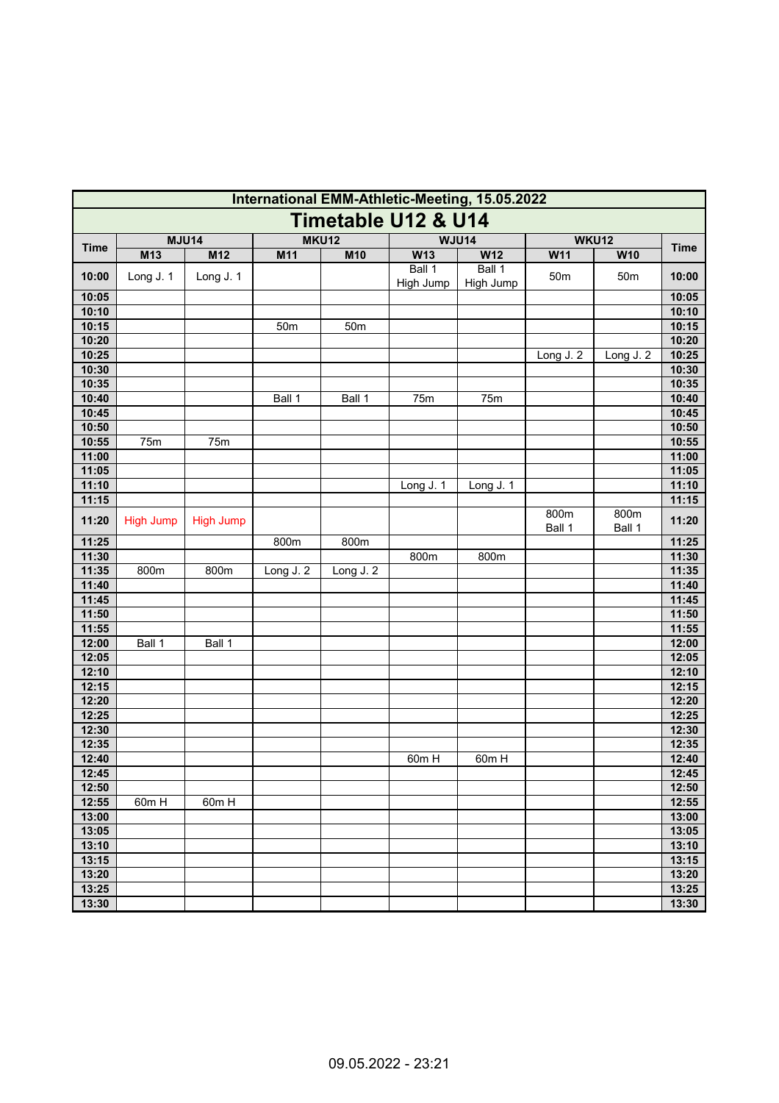| International EMM-Athletic-Meeting, 15.05.2022 |                  |                  |                 |                 |                     |                     |                       |                 |                |  |  |
|------------------------------------------------|------------------|------------------|-----------------|-----------------|---------------------|---------------------|-----------------------|-----------------|----------------|--|--|
| <b>Timetable U12 &amp; U14</b>                 |                  |                  |                 |                 |                     |                     |                       |                 |                |  |  |
| <b>Time</b>                                    | <b>MJU14</b>     |                  | <b>MKU12</b>    |                 | <b>WJU14</b>        |                     | WKU12                 |                 | <b>Time</b>    |  |  |
|                                                | M13              | M12              | M11             | M10             | W13                 | W12                 | W11                   | W10             |                |  |  |
| 10:00                                          | Long J. 1        | Long J. 1        |                 |                 | Ball 1<br>High Jump | Ball 1<br>High Jump | 50m                   | 50 <sub>m</sub> | 10:00          |  |  |
| 10:05                                          |                  |                  |                 |                 |                     |                     |                       |                 | 10:05          |  |  |
| 10:10                                          |                  |                  |                 |                 |                     |                     |                       |                 | 10:10          |  |  |
| 10:15                                          |                  |                  | 50 <sub>m</sub> | 50 <sub>m</sub> |                     |                     |                       |                 | 10:15          |  |  |
| 10:20                                          |                  |                  |                 |                 |                     |                     |                       |                 | 10:20          |  |  |
| 10:25                                          |                  |                  |                 |                 |                     |                     | Long $J.\overline{2}$ | Long J. 2       | 10:25          |  |  |
| 10:30                                          |                  |                  |                 |                 |                     |                     |                       |                 | 10:30          |  |  |
| 10:35                                          |                  |                  |                 |                 |                     |                     |                       |                 | 10:35          |  |  |
| 10:40                                          |                  |                  | Ball 1          | Ball 1          | 75m                 | 75m                 |                       |                 | 10:40<br>10:45 |  |  |
| 10:45<br>10:50                                 |                  |                  |                 |                 |                     |                     |                       |                 | 10:50          |  |  |
| 10:55                                          | 75m              | 75m              |                 |                 |                     |                     |                       |                 | 10:55          |  |  |
| 11:00                                          |                  |                  |                 |                 |                     |                     |                       |                 | 11:00          |  |  |
| 11:05                                          |                  |                  |                 |                 |                     |                     |                       |                 | 11:05          |  |  |
| 11:10                                          |                  |                  |                 |                 | Long J. 1           | Long J. 1           |                       |                 | 11:10          |  |  |
| 11:15                                          |                  |                  |                 |                 |                     |                     |                       |                 | 11:15          |  |  |
| 11:20                                          | <b>High Jump</b> | <b>High Jump</b> |                 |                 |                     |                     | 800m<br>Ball 1        | 800m<br>Ball 1  | 11:20          |  |  |
| 11:25                                          |                  |                  | 800m            | 800m            |                     |                     |                       |                 | 11:25          |  |  |
| 11:30                                          |                  |                  |                 |                 | 800m                | 800m                |                       |                 | 11:30          |  |  |
| 11:35                                          | 800m             | 800m             | Long J. 2       | Long J. 2       |                     |                     |                       |                 | 11:35          |  |  |
| 11:40                                          |                  |                  |                 |                 |                     |                     |                       |                 | 11:40          |  |  |
| 11:45                                          |                  |                  |                 |                 |                     |                     |                       |                 | 11:45          |  |  |
| 11:50                                          |                  |                  |                 |                 |                     |                     |                       |                 | 11:50          |  |  |
| 11:55                                          |                  |                  |                 |                 |                     |                     |                       |                 | 11:55          |  |  |
| 12:00                                          | Ball 1           | Ball 1           |                 |                 |                     |                     |                       |                 | 12:00          |  |  |
| 12:05                                          |                  |                  |                 |                 |                     |                     |                       |                 | 12:05          |  |  |
| 12:10                                          |                  |                  |                 |                 |                     |                     |                       |                 | 12:10          |  |  |
| 12:15                                          |                  |                  |                 |                 |                     |                     |                       |                 | 12:15          |  |  |
| 12:20                                          |                  |                  |                 |                 |                     |                     |                       |                 | 12:20          |  |  |
| 12:25                                          |                  |                  |                 |                 |                     |                     |                       |                 | 12:25          |  |  |
| 12:30                                          |                  |                  |                 |                 |                     |                     |                       |                 | 12:30          |  |  |
| 12:35                                          |                  |                  |                 |                 |                     |                     |                       |                 | 12:35          |  |  |
| 12:40                                          |                  |                  |                 |                 | 60m H               | $60m$ H             |                       |                 | 12:40          |  |  |
| 12:45                                          |                  |                  |                 |                 |                     |                     |                       |                 | 12:45          |  |  |
| 12:50                                          |                  |                  |                 |                 |                     |                     |                       |                 | 12:50          |  |  |
| 12:55                                          | 60m H            | 60m H            |                 |                 |                     |                     |                       |                 | 12:55          |  |  |
| 13:00                                          |                  |                  |                 |                 |                     |                     |                       |                 | 13:00          |  |  |
| 13:05                                          |                  |                  |                 |                 |                     |                     |                       |                 | 13:05          |  |  |
| 13:10                                          |                  |                  |                 |                 |                     |                     |                       |                 | 13:10          |  |  |
| 13:15<br>13:20                                 |                  |                  |                 |                 |                     |                     |                       |                 | 13:15<br>13:20 |  |  |
| 13:25                                          |                  |                  |                 |                 |                     |                     |                       |                 | 13:25          |  |  |
| 13:30                                          |                  |                  |                 |                 |                     |                     |                       |                 | 13:30          |  |  |
|                                                |                  |                  |                 |                 |                     |                     |                       |                 |                |  |  |